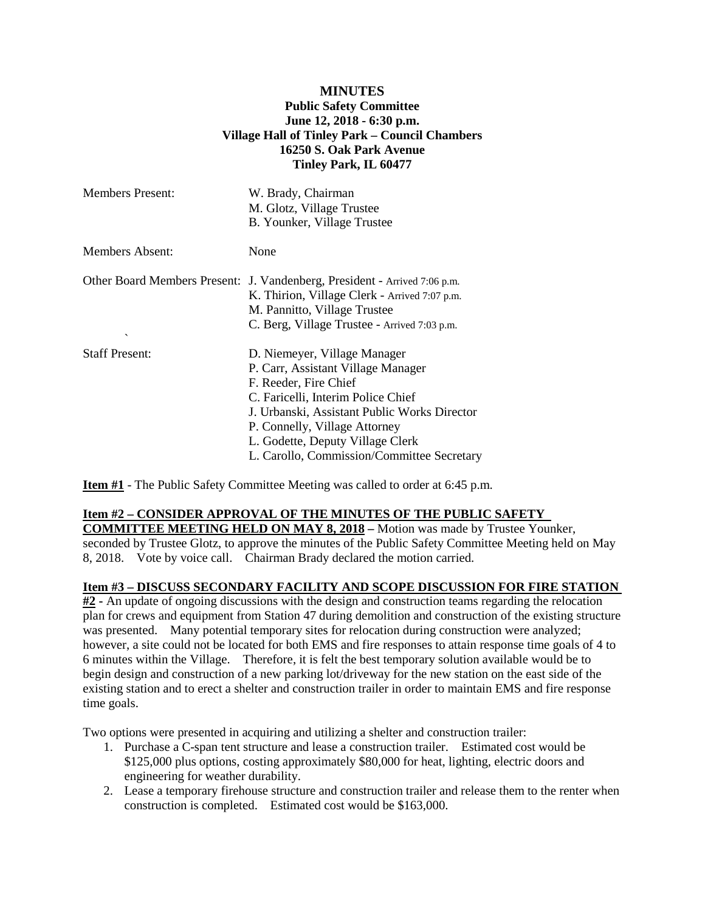## **MINUTES Public Safety Committee June 12, 2018 - 6:30 p.m. Village Hall of Tinley Park – Council Chambers 16250 S. Oak Park Avenue Tinley Park, IL 60477**

| <b>Members Present:</b> | W. Brady, Chairman<br>M. Glotz, Village Trustee<br>B. Younker, Village Trustee                                                                                                                                                                                                                       |
|-------------------------|------------------------------------------------------------------------------------------------------------------------------------------------------------------------------------------------------------------------------------------------------------------------------------------------------|
| Members Absent:         | None                                                                                                                                                                                                                                                                                                 |
| $\checkmark$            | Other Board Members Present: J. Vandenberg, President - Arrived 7:06 p.m.<br>K. Thirion, Village Clerk - Arrived 7:07 p.m.<br>M. Pannitto, Village Trustee<br>C. Berg, Village Trustee - Arrived 7:03 p.m.                                                                                           |
| <b>Staff Present:</b>   | D. Niemeyer, Village Manager<br>P. Carr, Assistant Village Manager<br>F. Reeder, Fire Chief<br>C. Faricelli, Interim Police Chief<br>J. Urbanski, Assistant Public Works Director<br>P. Connelly, Village Attorney<br>L. Godette, Deputy Village Clerk<br>L. Carollo, Commission/Committee Secretary |

**Item #1** - The Public Safety Committee Meeting was called to order at 6:45 p.m.

## **Item #2 – CONSIDER APPROVAL OF THE MINUTES OF THE PUBLIC SAFETY**

**COMMITTEE MEETING HELD ON MAY 8, 2018 –** Motion was made by Trustee Younker, seconded by Trustee Glotz, to approve the minutes of the Public Safety Committee Meeting held on May 8, 2018. Vote by voice call. Chairman Brady declared the motion carried.

## **Item #3 – DISCUSS SECONDARY FACILITY AND SCOPE DISCUSSION FOR FIRE STATION**

**#2 -** An update of ongoing discussions with the design and construction teams regarding the relocation plan for crews and equipment from Station 47 during demolition and construction of the existing structure was presented. Many potential temporary sites for relocation during construction were analyzed; however, a site could not be located for both EMS and fire responses to attain response time goals of 4 to 6 minutes within the Village. Therefore, it is felt the best temporary solution available would be to begin design and construction of a new parking lot/driveway for the new station on the east side of the existing station and to erect a shelter and construction trailer in order to maintain EMS and fire response time goals.

Two options were presented in acquiring and utilizing a shelter and construction trailer:

- 1. Purchase a C-span tent structure and lease a construction trailer. Estimated cost would be \$125,000 plus options, costing approximately \$80,000 for heat, lighting, electric doors and engineering for weather durability.
- 2. Lease a temporary firehouse structure and construction trailer and release them to the renter when construction is completed. Estimated cost would be \$163,000.